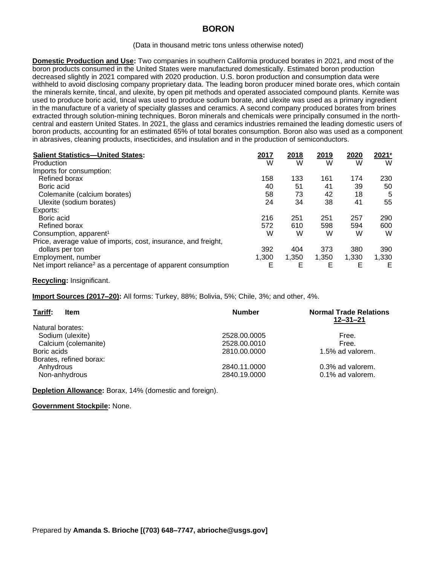## **BORON**

## (Data in thousand metric tons unless otherwise noted)

**Domestic Production and Use:** Two companies in southern California produced borates in 2021, and most of the boron products consumed in the United States were manufactured domestically. Estimated boron production decreased slightly in 2021 compared with 2020 production. U.S. boron production and consumption data were withheld to avoid disclosing company proprietary data. The leading boron producer mined borate ores, which contain the minerals kernite, tincal, and ulexite, by open pit methods and operated associated compound plants. Kernite was used to produce boric acid, tincal was used to produce sodium borate, and ulexite was used as a primary ingredient in the manufacture of a variety of specialty glasses and ceramics. A second company produced borates from brines extracted through solution-mining techniques. Boron minerals and chemicals were principally consumed in the northcentral and eastern United States. In 2021, the glass and ceramics industries remained the leading domestic users of boron products, accounting for an estimated 65% of total borates consumption. Boron also was used as a component in abrasives, cleaning products, insecticides, and insulation and in the production of semiconductors.

| <b>Salient Statistics-United States:</b>                                 | 2017  | 2018  | 2019  | 2020  | 2021 <sup>e</sup> |
|--------------------------------------------------------------------------|-------|-------|-------|-------|-------------------|
| Production                                                               | W     | W     | W     | W     | W                 |
| Imports for consumption:                                                 |       |       |       |       |                   |
| Refined borax                                                            | 158   | 133   | 161   | 174   | 230               |
| Boric acid                                                               | 40    | 51    | 41    | 39    | 50                |
| Colemanite (calcium borates)                                             | 58    | 73    | 42    | 18    | 5                 |
| Ulexite (sodium borates)                                                 | 24    | 34    | 38    | 41    | 55                |
| Exports:                                                                 |       |       |       |       |                   |
| Boric acid                                                               | 216   | 251   | 251   | 257   | 290               |
| Refined borax                                                            | 572   | 610   | 598   | 594   | 600               |
| Consumption, apparent <sup>1</sup>                                       | W     | W     | W     | W     | W                 |
| Price, average value of imports, cost, insurance, and freight,           |       |       |       |       |                   |
| dollars per ton                                                          | 392   | 404   | 373   | 380   | 390               |
| Employment, number                                                       | 1,300 | 1,350 | 1.350 | 1.330 | 1,330             |
| Net import reliance <sup>2</sup> as a percentage of apparent consumption | E     | E     | E     | E     | Е                 |

## **Recycling:** Insignificant.

**Import Sources (2017–20):** All forms: Turkey, 88%; Bolivia, 5%; Chile, 3%; and other, 4%.

| Tariff:<br><b>Item</b>  | <b>Number</b> | <b>Normal Trade Relations</b><br>$12 - 31 - 21$ |
|-------------------------|---------------|-------------------------------------------------|
| Natural borates:        |               |                                                 |
| Sodium (ulexite)        | 2528.00.0005  | Free.                                           |
| Calcium (colemanite)    | 2528.00.0010  | Free.                                           |
| Boric acids             | 2810.00.0000  | 1.5% ad valorem.                                |
| Borates, refined borax: |               |                                                 |
| Anhydrous               | 2840.11.0000  | 0.3% ad valorem.                                |
| Non-anhydrous           | 2840.19.0000  | 0.1% ad valorem.                                |

**Depletion Allowance:** Borax, 14% (domestic and foreign).

**Government Stockpile:** None.